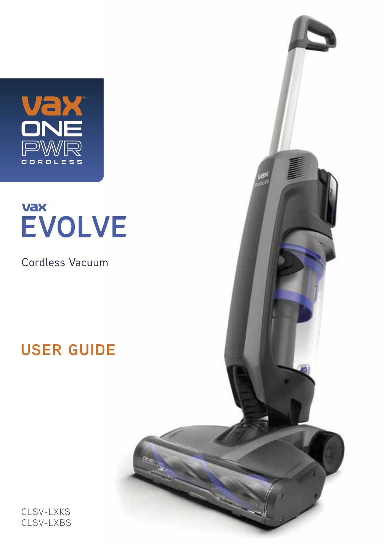

## **Vax EVOLVE**

Cordless Vacuum

## **USER GUIDE**



CLSV-LXKS CLSV-LXBS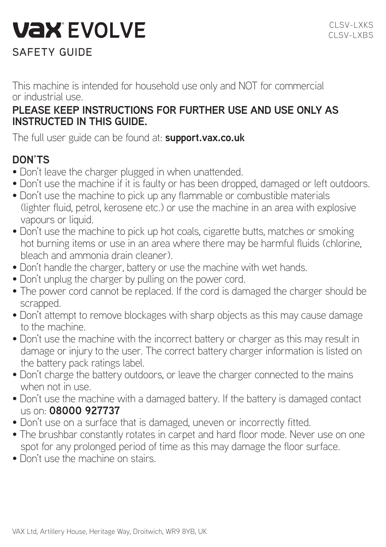# **VAX EVOLVE**

## SAFETY GUIDE

This machine is intended for household use only and NOT for commercial or industrial use.

### **PLEASE KEEP INSTRUCTIONS FOR FURTHER USE AND USE ONLY AS INSTRUCTED IN THIS GUIDE.**

The full user guide can be found at: **support.vax.co.uk**

## **DON'TS**

- Don't leave the charger plugged in when unattended.
- Don't use the machine if it is faulty or has been dropped, damaged or left outdoors.
- Don't use the machine to pick up any flammable or combustible materials (lighter fluid, petrol, kerosene etc.) or use the machine in an area with explosive vapours or liquid.
- Don't use the machine to pick up hot coals, cigarette butts, matches or smoking hot burning items or use in an area where there may be harmful fluids (chlorine, bleach and ammonia drain cleaner).
- Don't handle the charger, battery or use the machine with wet hands.
- Don't unplug the charger by pulling on the power cord.
- The power cord cannot be replaced. If the cord is damaged the charger should be scrapped.
- Don't attempt to remove blockages with sharp objects as this may cause damage to the machine.
- Don't use the machine with the incorrect battery or charger as this may result in damage or injury to the user. The correct battery charger information is listed on the battery pack ratings label.
- Don't charge the battery outdoors, or leave the charger connected to the mains when not in use.
- Don't use the machine with a damaged battery. If the battery is damaged contact us on: **08000 927737**
- Don't use on a surface that is damaged, uneven or incorrectly fitted.
- The brushbar constantly rotates in carpet and hard floor mode. Never use on one spot for any prolonged period of time as this may damage the floor surface.
- Don't use the machine on stairs.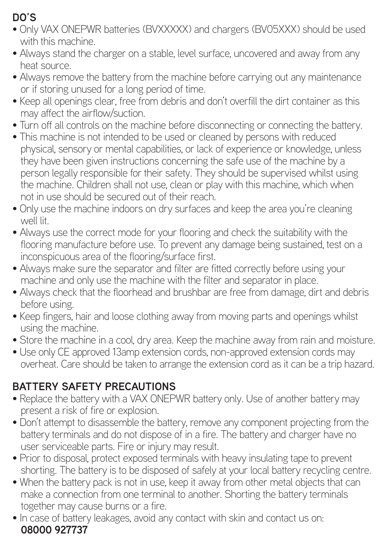## **DO'S**

- Only VAX ONEPWR batteries (BVXXXXX) and chargers (BV05XXX) should be used with this machine.
- Always stand the charger on a stable, level surface, uncovered and away from any heat source.
- Always remove the battery from the machine before carrying out any maintenance or if storing unused for a long period of time.
- Keep all openings clear, free from debris and don't overfill the dirt container as this may affect the airflow/suction.
- Turn off all controls on the machine before disconnecting or connecting the battery.
- This machine is not intended to be used or cleaned by persons with reduced physical, sensory or mental capabilities, or lack of experience or knowledge, unless they have been given instructions concerning the safe use of the machine by a person legally responsible for their safety. They should be supervised whilst using the machine. Children shall not use, clean or play with this machine, which when not in use should be secured out of their reach.
- Only use the machine indoors on dry surfaces and keep the area you're cleaning well lit.
- Always use the correct mode for your flooring and check the suitability with the flooring manufacture before use. To prevent any damage being sustained, test on a inconspicuous area of the flooring/surface first.
- Always make sure the separator and filter are fitted correctly before using your machine and only use the machine with the filter and separator in place.
- Always check that the floorhead and brushbar are free from damage, dirt and debris before using.
- Keep fingers, hair and loose clothing away from moving parts and openings whilst using the machine.
- Store the machine in a cool, dry area. Keep the machine away from rain and moisture.
- Use only CE approved 13amp extension cords, non-approved extension cords may overheat. Care should be taken to arrange the extension cord as it can be a trip hazard.

## **BATTERY SAFETY PRECAUTIONS**

- Replace the battery with a VAX ONEPWR battery only. Use of another battery may present a risk of fire or explosion.
- Don't attempt to disassemble the battery, remove any component projecting from the battery terminals and do not dispose of in a fire. The battery and charger have no user serviceable parts. Fire or injury may result.
- Prior to disposal, protect exposed terminals with heavy insulating tape to prevent shorting. The battery is to be disposed of safely at your local battery recycling centre.
- When the battery pack is not in use, keep it away from other metal objects that can make a connection from one terminal to another. Shorting the battery terminals together may cause burns or a fire.
- In case of battery leakages, avoid any contact with skin and contact us on: **08000 927737**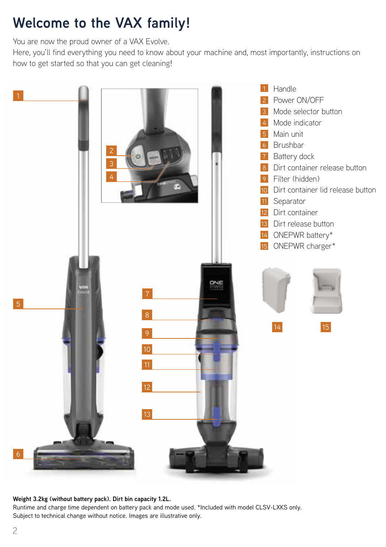## **Welcome to the VAX family!**

You are now the proud owner of a VAX Evolve.

Here, you'll find everything you need to know about your machine and, most importantly, instructions on how to get started so that you can get cleaning!



**Weight 3.2kg (without battery pack). Dirt bin capacity 1.2L.**

Runtime and charge time dependent on battery pack and mode used. \*Included with model CLSV-LXKS only. Subject to technical change without notice. Images are illustrative only.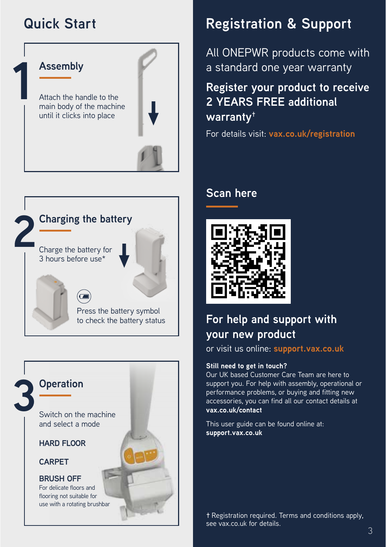## **Quick Start**





### **3 Operation**

Switch on the machine and select a mode

**HARD FLOOR** 

**CARPET**

#### **BRUSH OFF**

For delicate floors and flooring not suitable for use with a rotating brushbar

## **Registration & Support**

All ONEPWR products come with a standard one year warranty

## **Register your product to receive 2 YEARS FREE additional warranty†**

For details visit: **vax.co.uk/registration**

### **Scan here**



## **For help and support with your new product**

or visit us online: **support.vax.co.uk**

#### **Still need to get in touch?**

Our UK based Customer Care Team are here to support you. For help with assembly, operational or performance problems, or buying and fitting new accessories, you can find all our contact details at **vax.co.uk/contact**

This user guide can be found online at: **support.vax.co.uk**

**†** Registration required. Terms and conditions apply, see vax.co.uk for details.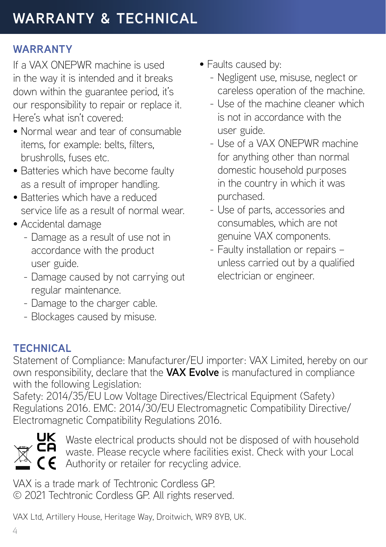## **WARRANTY**

If a VAX ONEPWR machine is used in the way it is intended and it breaks down within the guarantee period, it's our responsibility to repair or replace it. Here's what isn't covered:

- Normal wear and tear of consumable items, for example: belts, filters, brushrolls, fuses etc.
- Batteries which have become faulty as a result of improper handling.
- Batteries which have a reduced service life as a result of normal wear.
- Accidental damage
	- Damage as a result of use not in accordance with the product user guide.
	- Damage caused by not carrying out regular maintenance.
	- Damage to the charger cable.
	- Blockages caused by misuse.
- Faults caused by:
	- Negligent use, misuse, neglect or careless operation of the machine.
	- Use of the machine cleaner which is not in accordance with the user guide.
	- Use of a VAX ONEPWR machine for anything other than normal domestic household purposes in the country in which it was purchased.
	- Use of parts, accessories and consumables, which are not genuine VAX components.
	- Faulty installation or repairs unless carried out by a qualified electrician or engineer.

## **TECHNICAL**

Statement of Compliance: Manufacturer/EU importer: VAX Limited, hereby on our own responsibility, declare that the **VAX Evolve** is manufactured in compliance with the following Legislation:

Safety: 2014/35/EU Low Voltage Directives/Electrical Equipment (Safety) Regulations 2016. EMC: 2014/30/EU Electromagnetic Compatibility Directive/ Electromagnetic Compatibility Regulations 2016.



Waste electrical products should not be disposed of with household waste. Please recycle where facilities exist. Check with your Local Authority or retailer for recycling advice.

VAX is a trade mark of Techtronic Cordless GP. © 2021 Techtronic Cordless GP. All rights reserved.

VAX Ltd, Artillery House, Heritage Way, Droitwich, WR9 8YB, UK.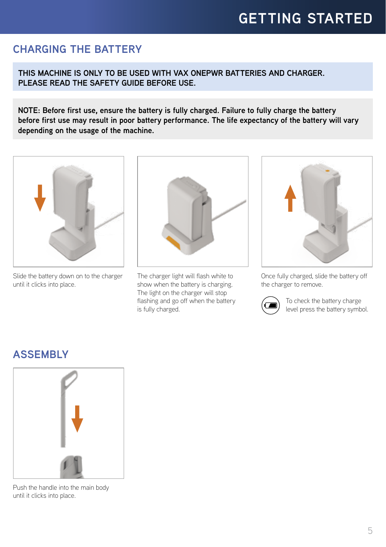### **CHARGING THE BATTERY**

**THIS MACHINE IS ONLY TO BE USED WITH VAX ONEPWR BATTERIES AND CHARGER. PLEASE READ THE SAFETY GUIDE BEFORE USE.**

**NOTE: Before first use, ensure the battery is fully charged. Failure to fully charge the battery before first use may result in poor battery performance. The life expectancy of the battery will vary depending on the usage of the machine.**



Slide the battery down on to the charger until it clicks into place.



The charger light will flash white to show when the battery is charging. The light on the charger will stop flashing and go off when the battery is fully charged.



Once fully charged, slide the battery off the charger to remove.



To check the battery charge level press the battery symbol.

### **ASSEMBLY**



Push the handle into the main body until it clicks into place.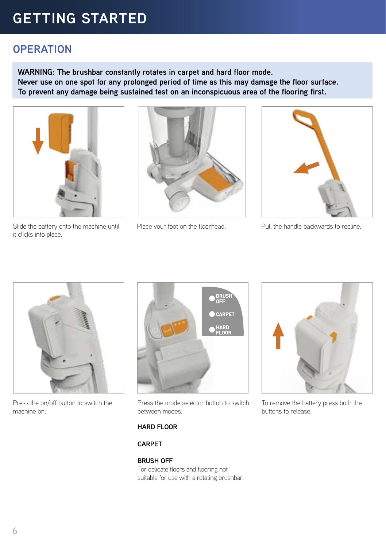## **GETTING STARTED**

### **OPERATION**

**WARNING: The brushbar constantly rotates in carpet and hard floor mode. Never use on one spot for any prolonged period of time as this may damage the floor surface. To prevent any damage being sustained test on an inconspicuous area of the flooring first.** 



Slide the battery onto the machine until it clicks into place.





Place your foot on the floorhead. Pull the handle backwards to recline.



Press the on/off button to switch the machine on.



Press the mode selector button to switch between modes.

#### **HARD FLOOR**

#### **CARPET**

#### **BRUSH OFF**

For delicate floors and flooring not suitable for use with a rotating brushbar.



To remove the battery press both the buttons to release.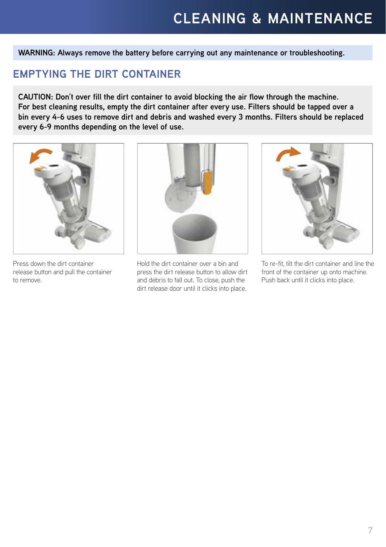**WARNING: Always remove the battery before carrying out any maintenance or troubleshooting.**

### **EMPTYING THE DIRT CONTAINER**

**CAUTION: Don't over fill the dirt container to avoid blocking the air flow through the machine. For best cleaning results, empty the dirt container after every use. Filters should be tapped over a bin every 4-6 uses to remove dirt and debris and washed every 3 months. Filters should be replaced every 6-9 months depending on the level of use.**



Press down the dirt container release button and pull the container to remove.



Hold the dirt container over a bin and press the dirt release button to allow dirt and debris to fall out. To close, push the dirt release door until it clicks into place.



To re-fit, tilt the dirt container and line the front of the container up onto machine. Push back until it clicks into place.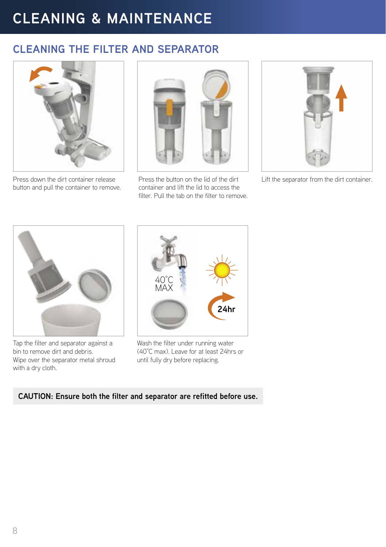## **CLEANING THE FILTER AND SEPARATOR**



button and pull the container to remove.



Press the button on the lid of the dirt container and lift the lid to access the filter. Pull the tab on the filter to remove. Press down the dirt container release Press the button on the lid of the dirt Lift the separator from the dirt container.





Tap the filter and separator against a bin to remove dirt and debris. Wipe over the separator metal shroud with a dry cloth.



Wash the filter under running water (40°C max). Leave for at least 24hrs or until fully dry before replacing.

#### **CAUTION: Ensure both the filter and separator are refitted before use.**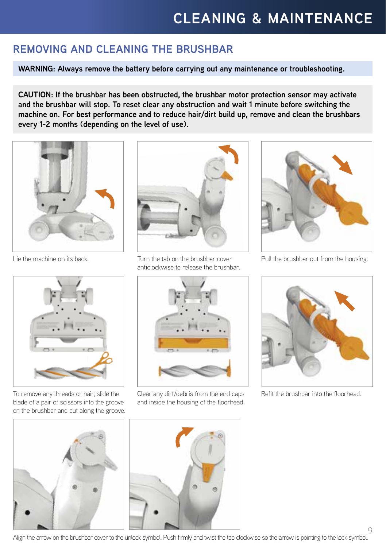### **REMOVING AND CLEANING THE BRUSHBAR**

**WARNING: Always remove the battery before carrying out any maintenance or troubleshooting.**

**CAUTION: If the brushbar has been obstructed, the brushbar motor protection sensor may activate and the brushbar will stop. To reset clear any obstruction and wait 1 minute before switching the machine on. For best performance and to reduce hair/dirt build up, remove and clean the brushbars every 1-2 months (depending on the level of use).**



Lie the machine on its back.



Turn the tab on the brushbar cover anticlockwise to release the brushbar.



Pull the brushbar out from the housing.



To remove any threads or hair, slide the blade of a pair of scissors into the groove on the brushbar and cut along the groove.





Clear any dirt/debris from the end caps and inside the housing of the floorhead.



Refit the brushbar into the floorhead.

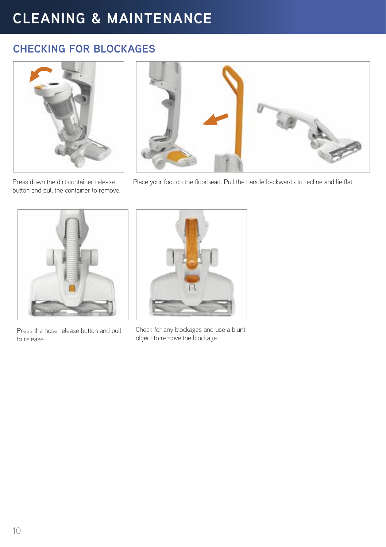### **CHECKING FOR BLOCKAGES**



Press down the dirt container release button and pull the container to remove.



Place your foot on the floorhead. Pull the handle backwards to recline and lie flat.



Press the hose release button and pull to release.



Check for any blockages and use a blunt object to remove the blockage.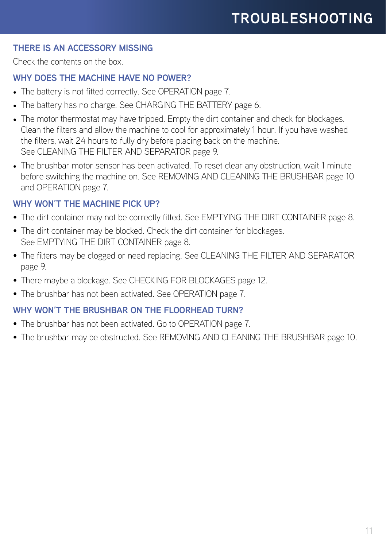#### **THERE IS AN ACCESSORY MISSING**

Check the contents on the box.

#### **WHY DOES THE MACHINE HAVE NO POWER?**

- The battery is not fitted correctly. See OPERATION page 7.
- The battery has no charge. See CHARGING THE BATTERY page 6.
- The motor thermostat may have tripped. Empty the dirt container and check for blockages. Clean the filters and allow the machine to cool for approximately 1 hour. If you have washed the filters, wait 24 hours to fully dry before placing back on the machine. See CLEANING THE FILTER AND SEPARATOR page 9.
- The brushbar motor sensor has been activated. To reset clear any obstruction, wait 1 minute before switching the machine on. See REMOVING AND CLEANING THE BRUSHBAR page 10 and OPERATION page 7.

#### **WHY WON'T THE MACHINE PICK UP?**

- The dirt container may not be correctly fitted. See EMPTYING THE DIRT CONTAINER page 8.
- The dirt container may be blocked. Check the dirt container for blockages. See EMPTYING THE DIRT CONTAINER page 8.
- The filters may be clogged or need replacing. See CLEANING THE FILTER AND SEPARATOR page 9.
- There maybe a blockage. See CHECKING FOR BLOCKAGES page 12.
- The brushbar has not been activated. See OPERATION page 7.

#### WHY WON'T THE BRUSHBAR ON THE FLOORHEAD TURN?

- The brushbar has not been activated. Go to OPERATION page 7.
- The brushbar may be obstructed. See REMOVING AND CLEANING THE BRUSHBAR page 10.